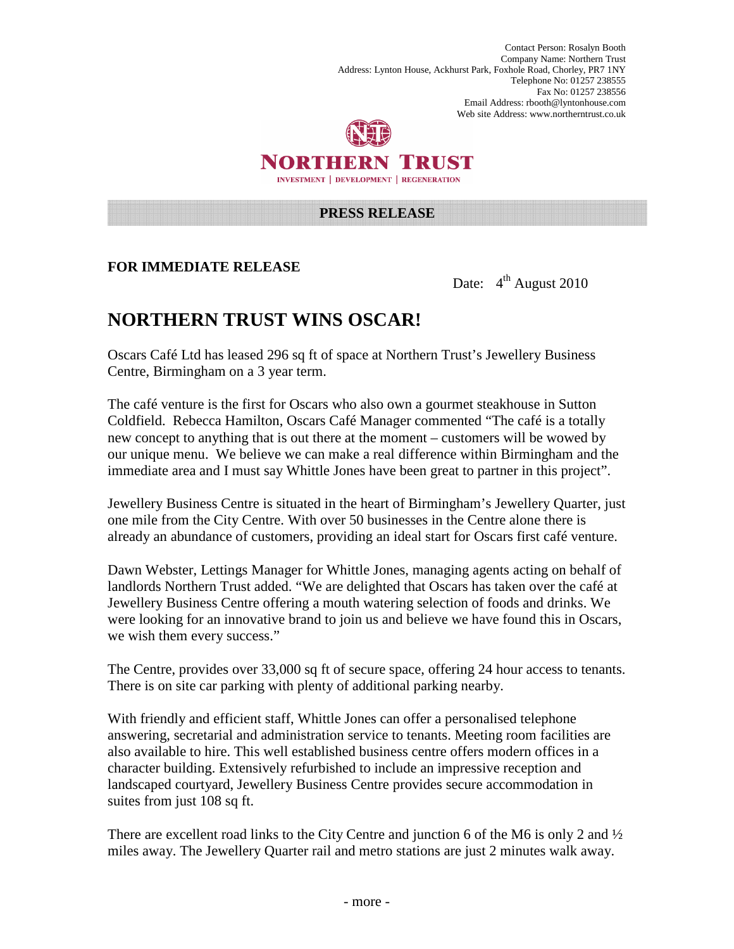Contact Person: Rosalyn Booth Company Name: Northern Trust Address: Lynton House, Ackhurst Park, Foxhole Road, Chorley, PR7 1NY Telephone No: 01257 238555 Fax No: 01257 238556 Email Address: rbooth@lyntonhouse.com Web site Address: www.northerntrust.co.uk



## NORTHERN TRUST **INVESTMENT | DEVELOPMENT | REGENERATION**

#### **PRESS RELEASE**

#### **FOR IMMEDIATE RELEASE**

Date:  $4^{\text{th}}$  August 2010

# **NORTHERN TRUST WINS OSCAR!**

Oscars Café Ltd has leased 296 sq ft of space at Northern Trust's Jewellery Business Centre, Birmingham on a 3 year term.

The café venture is the first for Oscars who also own a gourmet steakhouse in Sutton Coldfield. Rebecca Hamilton, Oscars Café Manager commented "The café is a totally new concept to anything that is out there at the moment – customers will be wowed by our unique menu. We believe we can make a real difference within Birmingham and the immediate area and I must say Whittle Jones have been great to partner in this project".

Jewellery Business Centre is situated in the heart of Birmingham's Jewellery Quarter, just one mile from the City Centre. With over 50 businesses in the Centre alone there is already an abundance of customers, providing an ideal start for Oscars first café venture.

Dawn Webster, Lettings Manager for Whittle Jones, managing agents acting on behalf of landlords Northern Trust added. "We are delighted that Oscars has taken over the café at Jewellery Business Centre offering a mouth watering selection of foods and drinks. We were looking for an innovative brand to join us and believe we have found this in Oscars, we wish them every success."

The Centre, provides over 33,000 sq ft of secure space, offering 24 hour access to tenants. There is on site car parking with plenty of additional parking nearby.

With friendly and efficient staff, Whittle Jones can offer a personalised telephone answering, secretarial and administration service to tenants. Meeting room facilities are also available to hire. This well established business centre offers modern offices in a character building. Extensively refurbished to include an impressive reception and landscaped courtyard, Jewellery Business Centre provides secure accommodation in suites from just 108 sq ft.

There are excellent road links to the City Centre and junction 6 of the M6 is only 2 and  $\frac{1}{2}$ miles away. The Jewellery Quarter rail and metro stations are just 2 minutes walk away.